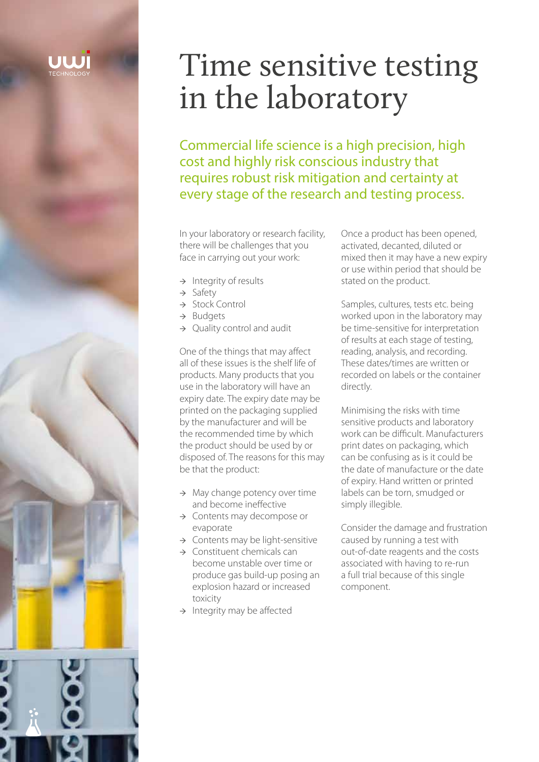# Time sensitive testing in the laboratory

Commercial life science is a high precision, high cost and highly risk conscious industry that requires robust risk mitigation and certainty at every stage of the research and testing process.

In your laboratory or research facility, there will be challenges that you face in carrying out your work:

- → Integrity of results
- → Safety
- → Stock Control
- → Budgets
- $\rightarrow$  Quality control and audit

One of the things that may affect all of these issues is the shelf life of products. Many products that you use in the laboratory will have an expiry date. The expiry date may be printed on the packaging supplied by the manufacturer and will be the recommended time by which the product should be used by or disposed of. The reasons for this may be that the product:

- $\rightarrow$  May change potency over time and become ineffective
- → Contents may decompose or evaporate
- → Contents may be light-sensitive
- → Constituent chemicals can become unstable over time or produce gas build-up posing an explosion hazard or increased toxicity
- → Integrity may be affected

Once a product has been opened, activated, decanted, diluted or mixed then it may have a new expiry or use within period that should be stated on the product.

Samples, cultures, tests etc. being worked upon in the laboratory may be time-sensitive for interpretation of results at each stage of testing, reading, analysis, and recording. These dates/times are written or recorded on labels or the container directly.

Minimising the risks with time sensitive products and laboratory work can be difficult. Manufacturers print dates on packaging, which can be confusing as is it could be the date of manufacture or the date of expiry. Hand written or printed labels can be torn, smudged or simply illegible.

Consider the damage and frustration caused by running a test with out-of-date reagents and the costs associated with having to re-run a full trial because of this single component.